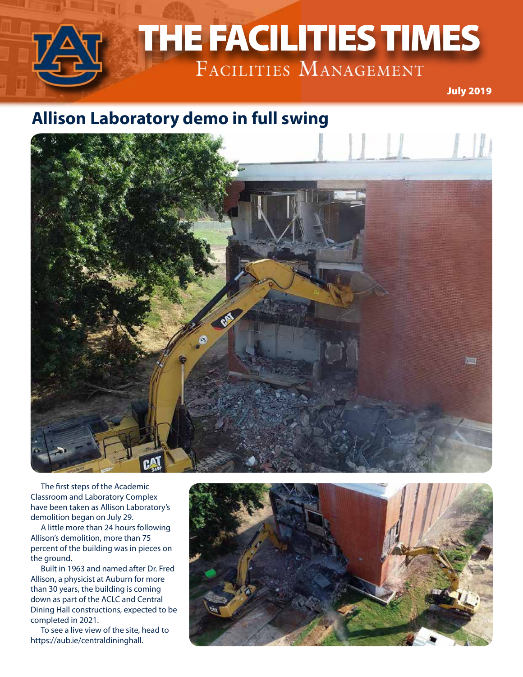

December 2018 July 2019

### **Allison Laboratory demo in full swing**



The first steps of the Academic Classroom and Laboratory Complex have been taken as Allison Laboratory's demolition began on July 29.

A little more than 24 hours following Allison's demolition, more than 75 percent of the building was in pieces on the ground.

Built in 1963 and named after Dr. Fred Allison, a physicist at Auburn for more than 30 years, the building is coming down as part of the ACLC and Central Dining Hall constructions, expected to be completed in 2021.

To see a live view of the site, head to https://aub.ie/centraldininghall.

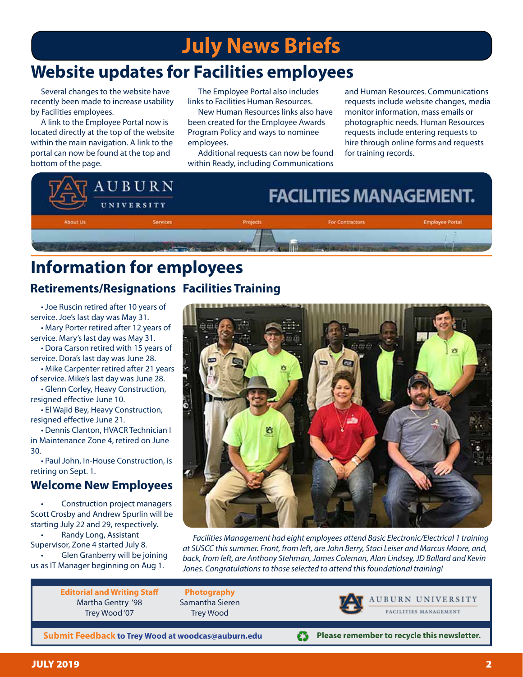# **July News Briefs**

# **Website updates for Facilities employees**

Several changes to the website have recently been made to increase usability by Facilities employees.

A link to the Employee Portal now is located directly at the top of the website within the main navigation. A link to the portal can now be found at the top and bottom of the page.

The Employee Portal also includes links to Facilities Human Resources.

New Human Resources links also have been created for the Employee Awards Program Policy and ways to nominee employees.

Additional requests can now be found within Ready, including Communications and Human Resources. Communications requests include website changes, media monitor information, mass emails or photographic needs. Human Resources requests include entering requests to hire through online forms and requests for training records.



### **Information for employees Retirements/Resignations Facilities Training**

• Joe Ruscin retired after 10 years of service. Joe's last day was May 31.

• Mary Porter retired after 12 years of service. Mary's last day was May 31.

• Dora Carson retired with 15 years of service. Dora's last day was June 28.

• Mike Carpenter retired after 21 years of service. Mike's last day was June 28.

• Glenn Corley, Heavy Construction, resigned effective June 10.

• El Wajid Bey, Heavy Construction, resigned effective June 21.

• Dennis Clanton, HVACR Technician I in Maintenance Zone 4, retired on June 30.

• Paul John, In-House Construction, is retiring on Sept. 1.

#### **Welcome New Employees**

• Construction project managers Scott Crosby and Andrew Spurlin will be starting July 22 and 29, respectively. • Randy Long, Assistant

Supervisor, Zone 4 started July 8.

• Glen Granberry will be joining us as IT Manager beginning on Aug 1.

 $50000$ 

*Facilities Management had eight employees attend Basic Electronic/Electrical 1 training at SUSCC this summer. Front, from left, are John Berry, Staci Leiser and Marcus Moore, and, back, from left, are Anthony Stehman, James Coleman, Alan Lindsey, JD Ballard and Kevin Jones. Congratulations to those selected to attend this foundational training!*

**Editorial and Writing Staff** Martha Gentry '98 Trey Wood '07



**AUBURN UNIVERSITY** FACILITIES MANAGEMENT

**Submit Feedback to Trey Wood at woodcas@auburn.edu**

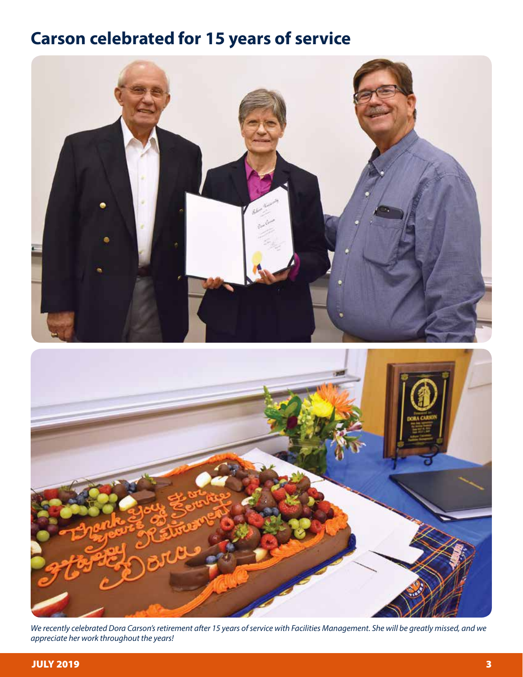# **Carson celebrated for 15 years of service**



*We recently celebrated Dora Carson's retirement after 15 years of service with Facilities Management. She will be greatly missed, and we appreciate her work throughout the years!*